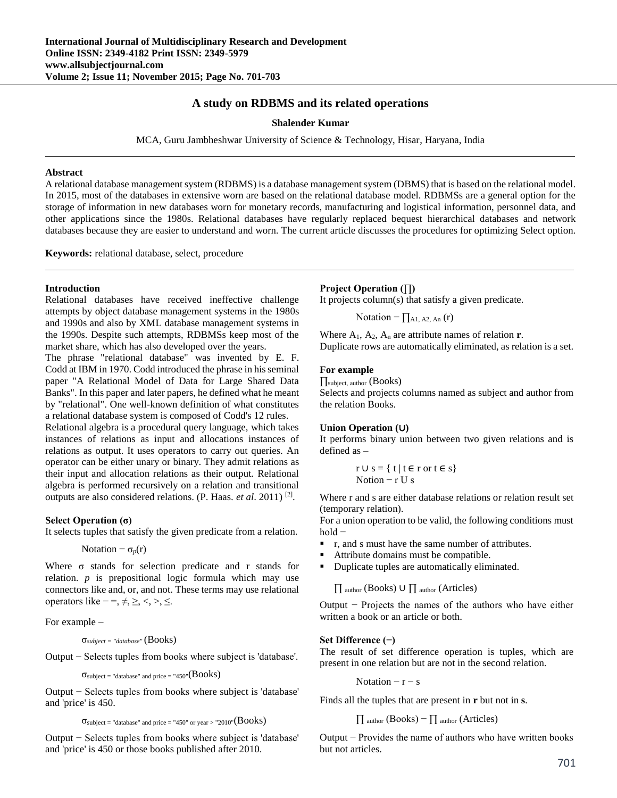# **A study on RDBMS and its related operations**

**Shalender Kumar**

MCA, Guru Jambheshwar University of Science & Technology, Hisar, Haryana, India

#### **Abstract**

A relational database management system (RDBMS) is a database management system (DBMS) that is based on the relational model. In 2015, most of the databases in extensive worn are based on the relational database model. RDBMSs are a general option for the storage of information in new databases worn for monetary records, manufacturing and logistical information, personnel data, and other applications since the 1980s. Relational databases have regularly replaced bequest hierarchical databases and network databases because they are easier to understand and worn. The current article discusses the procedures for optimizing Select option.

**Keywords:** relational database, select, procedure

#### **Introduction**

Relational databases have received ineffective challenge attempts by object database management systems in the 1980s and 1990s and also by XML database management systems in the 1990s. Despite such attempts, RDBMSs keep most of the market share, which has also developed over the years.

The phrase "relational database" was invented by E. F. Codd at IBM in 1970. Codd introduced the phrase in his seminal paper "A Relational Model of Data for Large Shared Data Banks". In this paper and later papers, he defined what he meant by "relational". One well-known definition of what constitutes a relational database system is composed of Codd's 12 rules.

Relational algebra is a procedural query language, which takes instances of relations as input and allocations instances of relations as output. It uses operators to carry out queries. An operator can be either unary or binary. They admit relations as their input and allocation relations as their output. Relational algebra is performed recursively on a relation and transitional outputs are also considered relations. (P. Haas. *et al.* 2011)<sup>[2]</sup>.

#### **Select Operation (σ)**

It selects tuples that satisfy the given predicate from a relation.

Notation  $-\sigma_p(r)$ 

Where  $\sigma$  stands for selection predicate and r stands for relation. *p* is prepositional logic formula which may use connectors like and, or, and not. These terms may use relational operators like  $-$  =,  $\neq, \geq, \lt,, \gt, \leq$ .

For example –

σ*subject = "database"* (Books)

Output − Selects tuples from books where subject is 'database'.

 $\sigma$ subject = "database" and price = "450" $(Books)$ 

Output − Selects tuples from books where subject is 'database' and 'price' is 450.

 $\sigma_{\text{subject}}$  = "database" and price = "450" or year > "2010"( $\text{Books}$ )

Output − Selects tuples from books where subject is 'database' and 'price' is 450 or those books published after 2010.

## **Project Operation (∏)**

It projects column(s) that satisfy a given predicate.

Notation –  $\prod_{A1, A2, An}$  (r)

Where  $A_1$ ,  $A_2$ ,  $A_n$  are attribute names of relation **r**. Duplicate rows are automatically eliminated, as relation is a set.

## **For example**

∏subject, author (Books) Selects and projects columns named as subject and author from the relation Books.

#### **Union Operation (**∪**)**

It performs binary union between two given relations and is defined as –

$$
r \cup s = \{ t \mid t \in r \text{ or } t \in s \}
$$
  
Notion  $- r \cup s$ 

Where r and s are either database relations or relation result set (temporary relation).

For a union operation to be valid, the following conditions must hold −

- r, and s must have the same number of attributes.
- Attribute domains must be compatible.
- Duplicate tuples are automatically eliminated.

∏ author (Books) ∪ ∏ author (Articles)

Output − Projects the names of the authors who have either written a book or an article or both.

#### **Set Difference (−)**

The result of set difference operation is tuples, which are present in one relation but are not in the second relation.

Notation  $-r - s$ 

Finds all the tuples that are present in **r** but not in **s**.

 $\prod$  author (Books) –  $\prod$  author (Articles)

Output − Provides the name of authors who have written books but not articles.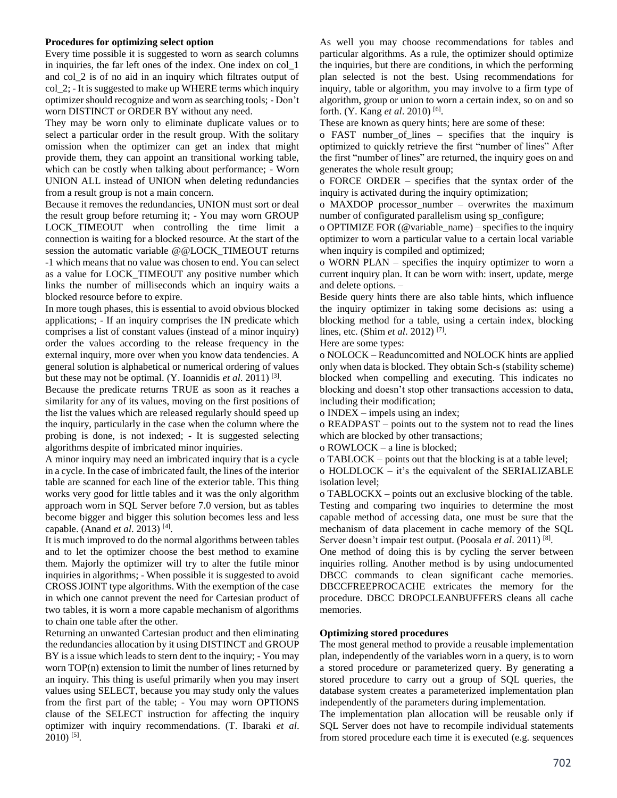## **Procedures for optimizing select option**

Every time possible it is suggested to worn as search columns in inquiries, the far left ones of the index. One index on col\_1 and col\_2 is of no aid in an inquiry which filtrates output of col\_2; - It is suggested to make up WHERE terms which inquiry optimizer should recognize and worn as searching tools; - Don't worn DISTINCT or ORDER BY without any need.

They may be worn only to eliminate duplicate values or to select a particular order in the result group. With the solitary omission when the optimizer can get an index that might provide them, they can appoint an transitional working table, which can be costly when talking about performance; - Worn UNION ALL instead of UNION when deleting redundancies from a result group is not a main concern.

Because it removes the redundancies, UNION must sort or deal the result group before returning it; - You may worn GROUP LOCK\_TIMEOUT when controlling the time limit a connection is waiting for a blocked resource. At the start of the session the automatic variable @@LOCK\_TIMEOUT returns -1 which means that no value was chosen to end. You can select as a value for LOCK\_TIMEOUT any positive number which links the number of milliseconds which an inquiry waits a blocked resource before to expire.

In more tough phases, this is essential to avoid obvious blocked applications; - If an inquiry comprises the IN predicate which comprises a list of constant values (instead of a minor inquiry) order the values according to the release frequency in the external inquiry, more over when you know data tendencies. A general solution is alphabetical or numerical ordering of values but these may not be optimal. (Y. Ioannidis *et al*. 2011) [3] .

Because the predicate returns TRUE as soon as it reaches a similarity for any of its values, moving on the first positions of the list the values which are released regularly should speed up the inquiry, particularly in the case when the column where the probing is done, is not indexed; - It is suggested selecting algorithms despite of imbricated minor inquiries.

A minor inquiry may need an imbricated inquiry that is a cycle in a cycle. In the case of imbricated fault, the lines of the interior table are scanned for each line of the exterior table. This thing works very good for little tables and it was the only algorithm approach worn in SQL Server before 7.0 version, but as tables become bigger and bigger this solution becomes less and less capable. (Anand *et al*. 2013) [4] .

It is much improved to do the normal algorithms between tables and to let the optimizer choose the best method to examine them. Majorly the optimizer will try to alter the futile minor inquiries in algorithms; - When possible it is suggested to avoid CROSS JOINT type algorithms. With the exemption of the case in which one cannot prevent the need for Cartesian product of two tables, it is worn a more capable mechanism of algorithms to chain one table after the other.

Returning an unwanted Cartesian product and then eliminating the redundancies allocation by it using DISTINCT and GROUP BY is a issue which leads to stern dent to the inquiry; - You may worn TOP(n) extension to limit the number of lines returned by an inquiry. This thing is useful primarily when you may insert values using SELECT, because you may study only the values from the first part of the table; - You may worn OPTIONS clause of the SELECT instruction for affecting the inquiry optimizer with inquiry recommendations. (T. Ibaraki *et al*. 2010) [5] .

As well you may choose recommendations for tables and particular algorithms. As a rule, the optimizer should optimize the inquiries, but there are conditions, in which the performing plan selected is not the best. Using recommendations for inquiry, table or algorithm, you may involve to a firm type of algorithm, group or union to worn a certain index, so on and so forth. (Y. Kang *et al*. 2010) [6] .

These are known as query hints; here are some of these:

o FAST number\_of\_lines – specifies that the inquiry is optimized to quickly retrieve the first "number of lines" After the first "number of lines" are returned, the inquiry goes on and generates the whole result group;

o FORCE ORDER – specifies that the syntax order of the inquiry is activated during the inquiry optimization;

o MAXDOP processor\_number – overwrites the maximum number of configurated parallelism using sp\_configure;

o OPTIMIZE FOR (@variable\_name) – specifies to the inquiry optimizer to worn a particular value to a certain local variable when inquiry is compiled and optimized;

o WORN PLAN – specifies the inquiry optimizer to worn a current inquiry plan. It can be worn with: insert, update, merge and delete options. –

Beside query hints there are also table hints, which influence the inquiry optimizer in taking some decisions as: using a blocking method for a table, using a certain index, blocking lines, etc. (Shim *et al*. 2012) [7] .

Here are some types:

o NOLOCK – Readuncomitted and NOLOCK hints are applied only when data is blocked. They obtain Sch-s (stability scheme) blocked when compelling and executing. This indicates no blocking and doesn't stop other transactions accession to data, including their modification;

o INDEX – impels using an index;

o READPAST – points out to the system not to read the lines which are blocked by other transactions;

o ROWLOCK – a line is blocked;

o TABLOCK – points out that the blocking is at a table level;

o HOLDLOCK – it's the equivalent of the SERIALIZABLE isolation level;

o TABLOCKX – points out an exclusive blocking of the table. Testing and comparing two inquiries to determine the most capable method of accessing data, one must be sure that the mechanism of data placement in cache memory of the SQL Server doesn't impair test output. (Poosala et al. 2011)<sup>[8]</sup>.

One method of doing this is by cycling the server between inquiries rolling. Another method is by using undocumented DBCC commands to clean significant cache memories. DBCCFREEPROCACHE extricates the memory for the procedure. DBCC DROPCLEANBUFFERS cleans all cache memories.

#### **Optimizing stored procedures**

The most general method to provide a reusable implementation plan, independently of the variables worn in a query, is to worn a stored procedure or parameterized query. By generating a stored procedure to carry out a group of SQL queries, the database system creates a parameterized implementation plan independently of the parameters during implementation.

The implementation plan allocation will be reusable only if SQL Server does not have to recompile individual statements from stored procedure each time it is executed (e.g. sequences